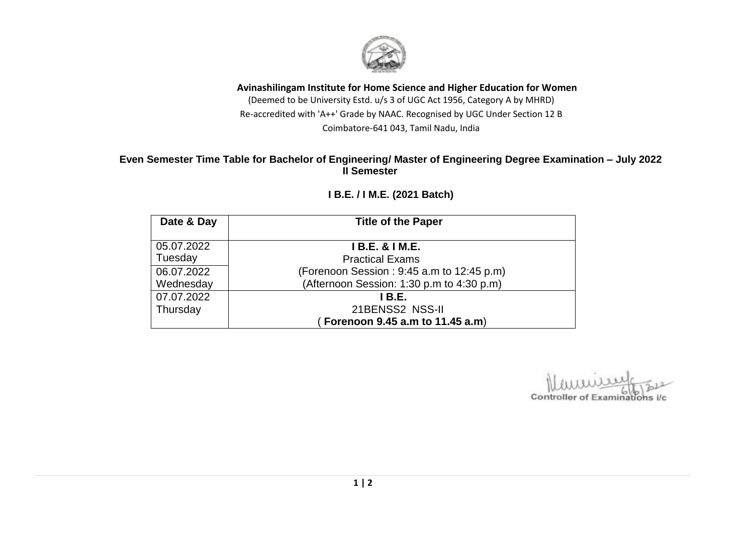

#### **Avinashilingam Institute for Home Science and Higher Education for Women** (Deemed to be University Estd. u/s 3 of UGC Act 1956, Category A by MHRD)

Re-accredited with 'A++' Grade by NAAC. Recognised by UGC Under Section 12 B Coimbatore-641 043, Tamil Nadu, India

### **Even Semester Time Table for Bachelor of Engineering/ Master of Engineering Degree Examination – July 2022 II Semester**

| Date & Day | <b>Title of the Paper</b>                 |  |
|------------|-------------------------------------------|--|
| 05.07.2022 | <b>IB.E. &amp; IM.E.</b>                  |  |
| Tuesday    | <b>Practical Exams</b>                    |  |
| 06.07.2022 | (Forenoon Session: 9:45 a.m to 12:45 p.m) |  |
| Wednesday  | (Afternoon Session: 1:30 p.m to 4:30 p.m) |  |
| 07.07.2022 | I B.E.                                    |  |
| Thursday   | 21BENSS2 NSS-II                           |  |
|            | Forenoon 9.45 a.m to 11.45 a.m)           |  |

## **I B.E. / I M.E. (2021 Batch)**

Controller of Examinations i/c